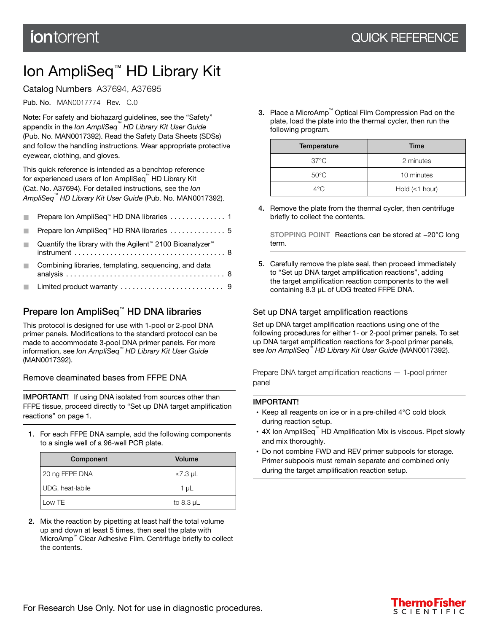# <span id="page-0-0"></span>Ion AmpliSeq™ HD Library Kit

Catalog Numbers A37694, A37695

Pub. No. MAN0017774 Rev. C.0

Note: For safety and biohazard guidelines, see the "Safety" appendix in the *Ion AmpliSeq™ HD Library Kit User Guide* (Pub. No. MAN0017392). Read the Safety Data Sheets (SDSs) and follow the handling instructions. Wear appropriate protective eyewear, clothing, and gloves.

This quick reference is intended as a benchtop reference for experienced users of Ion AmpliSeq™HD Library Kit (Cat. No. A37694). For detailed instructions, see the *Ion AmpliSeq™ HD Library Kit User Guide* (Pub. No. MAN0017392).

| Prepare Ion AmpliSeq™ HD DNA libraries 1                                                                                                                                               |  |
|----------------------------------------------------------------------------------------------------------------------------------------------------------------------------------------|--|
|                                                                                                                                                                                        |  |
| Quantify the library with the Agilent <sup>™</sup> 2100 Bioanalyzer <sup>™</sup><br>$instrument \ldots \ldots \ldots \ldots \ldots \ldots \ldots \ldots \ldots \ldots \ldots \ldots 8$ |  |
| Combining libraries, templating, sequencing, and data                                                                                                                                  |  |
|                                                                                                                                                                                        |  |

# Prepare Ion AmpliSeq™ HD DNA libraries

This protocol is designed for use with 1‑pool or 2‑pool DNA primer panels. Modifications to the standard protocol can be made to accommodate 3‑pool DNA primer panels. For more information, see *Ion AmpliSeq™ HD Library Kit User Guide* (MAN0017392).

Remove deaminated bases from FFPE DNA

IMPORTANT! If using DNA isolated from sources other than FFPE tissue, proceed directly to "Set up DNA target amplification reactions" on page 1.

1. For each FFPE DNA sample, add the following components to a single well of a 96‑well PCR plate.

| Component        | Volume         |
|------------------|----------------|
| 20 ng FFPE DNA   | $≤7.3$ µL      |
| UDG, heat-labile | $1 \mu L$      |
| Low TE           | to 8.3 $\mu$ L |

2. Mix the reaction by pipetting at least half the total volume up and down at least 5 times, then seal the plate with MicroAmp™ Clear Adhesive Film. Centrifuge briefly to collect the contents.

3. Place a MicroAmp™ Optical Film Compression Pad on the plate, load the plate into the thermal cycler, then run the following program.

| Temperature    | Time                 |
|----------------|----------------------|
| $37^{\circ}$ C | 2 minutes            |
| $50^{\circ}$ C | 10 minutes           |
| $4^{\circ}$ C  | Hold $(\leq 1$ hour) |

4. Remove the plate from the thermal cycler, then centrifuge briefly to collect the contents.

STOPPING POINT Reactions can be stored at −20°C long term.

5. Carefully remove the plate seal, then proceed immediately to "Set up DNA target amplification reactions", adding the target amplification reaction components to the well containing 8.3 µL of UDG treated FFPE DNA.

## Set up DNA target amplification reactions

Set up DNA target amplification reactions using one of the following procedures for either 1‑ or 2‑pool primer panels. To set up DNA target amplification reactions for 3‑pool primer panels, see *Ion AmpliSeq™ HD Library Kit User Guide* (MAN0017392).

Prepare DNA target amplification reactions — 1‑pool primer panel

### IMPORTANT!

- · Keep all reagents on ice or in a pre‑chilled 4°C cold block during reaction setup.
- 4X Ion AmpliSeq<sup>™</sup> HD Amplification Mix is viscous. Pipet slowly and mix thoroughly.
- · Do not combine FWD and REV primer subpools for storage. Primer subpools must remain separate and combined only during the target amplification reaction setup.

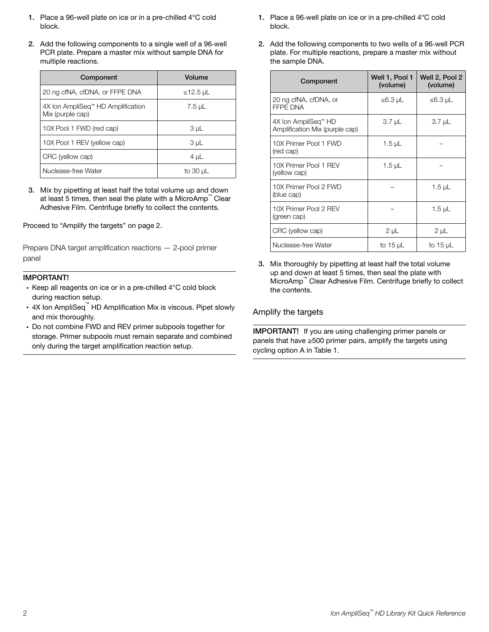- <span id="page-1-0"></span>1. Place a 96-well plate on ice or in a pre-chilled 4°C cold block.
- 2. Add the following components to a single well of a 96‑well PCR plate. Prepare a master mix without sample DNA for multiple reactions.

| Component                                                         | Volume        |
|-------------------------------------------------------------------|---------------|
| 20 ng cfNA, cfDNA, or FFPE DNA                                    | ≤12.5 µL      |
| 4X Ion AmpliSeq <sup>"</sup> HD Amplification<br>Mix (purple cap) | 7.5 µL        |
| 10X Pool 1 FWD (red cap)                                          | 3 µL          |
| 10X Pool 1 REV (yellow cap)                                       | 3 µL          |
| CRC (yellow cap)                                                  | $4 \mu L$     |
| Nuclease-free Water                                               | to $30 \mu L$ |

3. Mix by pipetting at least half the total volume up and down at least 5 times, then seal the plate with a MicroAmp™ Clear Adhesive Film. Centrifuge briefly to collect the contents.

Proceed to "Amplify the targets" on page 2.

Prepare DNA target amplification reactions — 2‑pool primer panel

#### IMPORTANT!

- Keep all reagents on ice or in a pre-chilled 4°C cold block during reaction setup.
- 4X Ion AmpliSeq<sup>™</sup> HD Amplification Mix is viscous. Pipet slowly and mix thoroughly.
- · Do not combine FWD and REV primer subpools together for storage. Primer subpools must remain separate and combined only during the target amplification reaction setup.
- 1. Place a 96‑well plate on ice or in a pre‑chilled 4°C cold block.
- 2. Add the following components to two wells of a 96‑well PCR plate. For multiple reactions, prepare a master mix without the sample DNA.

| Component                                             | Well 1, Pool 1<br>(volume) | Well 2, Pool 2<br>(volume) |
|-------------------------------------------------------|----------------------------|----------------------------|
| 20 ng cfNA, cfDNA, or<br><b>FFPE DNA</b>              | $≤6.3$ µL                  | $≤6.3$ µL                  |
| 4X Ion AmpliSeg™ HD<br>Amplification Mix (purple cap) | $3.7 \mu L$                | 3.7 µL                     |
| 10X Primer Pool 1 FWD<br>(red cap)                    | 1.5 µL                     |                            |
| 10X Primer Pool 1 REV<br>(yellow cap)                 | 1.5 µL                     |                            |
| 10X Primer Pool 2 FWD<br>(blue cap)                   |                            | 1.5 $\mu$ L                |
| 10X Primer Pool 2 REV<br>(green cap)                  |                            | 1.5 $\mu$ L                |
| CRC (yellow cap)                                      | $2 \mu L$                  | $2 \mu L$                  |
| Nuclease-free Water                                   | to 15 $\mu$ L              | to $15 \mu L$              |

3. Mix thoroughly by pipetting at least half the total volume up and down at least 5 times, then seal the plate with MicroAmp™ Clear Adhesive Film. Centrifuge briefly to collect the contents.

### Amplify the targets

IMPORTANT! If you are using challenging primer panels or panels that have ≥500 primer pairs, amplify the targets using cycling option A in [Table 1](#page-2-0).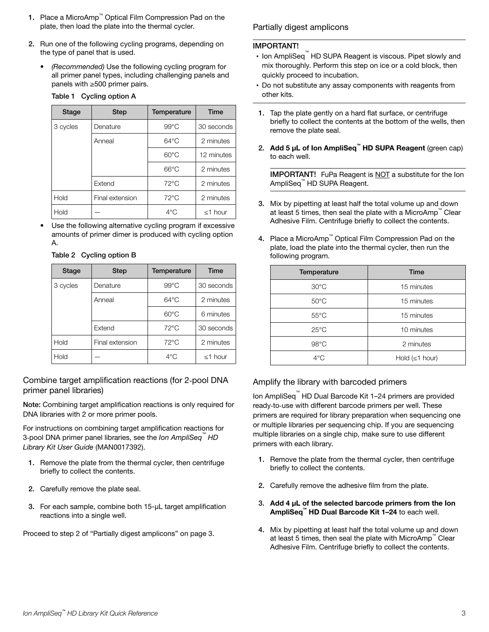- <span id="page-2-0"></span>1. Place a MicroAmp™ Optical Film Compression Pad on the plate, then load the plate into the thermal cycler.
- 2. Run one of the following cycling programs, depending on the type of panel that is used.
	- *(Recommended)* Use the following cycling program for all primer panel types, including challenging panels and panels with ≥500 primer pairs.

|  | Table 1 Cycling option A |  |
|--|--------------------------|--|
|  |                          |  |

| Stage    | <b>Step</b>     | Temperature    | <b>Time</b> |
|----------|-----------------|----------------|-------------|
| 3 cycles | Denature        | $99^{\circ}$ C | 30 seconds  |
|          | Anneal          | $64^{\circ}$ C | 2 minutes   |
|          |                 | $60^{\circ}$ C | 12 minutes  |
|          |                 | $66^{\circ}$ C | 2 minutes   |
|          | Extend          | $72^{\circ}$ C | 2 minutes   |
| Hold     | Final extension | $72^{\circ}$ C | 2 minutes   |
| Hold     |                 | $4^{\circ}$ C  | ≤1 hour     |

Use the following alternative cycling program if excessive amounts of primer dimer is produced with cycling option A.

| Table 2 Cycling option B |
|--------------------------|
|--------------------------|

| Stage    | <b>Step</b>     | Temperature    | Time          |
|----------|-----------------|----------------|---------------|
| 3 cycles | Denature        | $99^{\circ}$ C | 30 seconds    |
|          | Anneal          | $64^{\circ}$ C | 2 minutes     |
|          |                 | $60^{\circ}$ C | 6 minutes     |
|          | Extend          | $72^{\circ}$ C | 30 seconds    |
| Hold     | Final extension | $72^{\circ}$ C | 2 minutes     |
| Hold     |                 | $4^{\circ}$ C  | $\leq$ 1 hour |

Combine target amplification reactions (for 2‑pool DNA primer panel libraries)

Note: Combining target amplification reactions is only required for DNA libraries with 2 or more primer pools.

For instructions on combining target amplification reactions for 3‑pool DNA primer panel libraries, see the *Ion AmpliSeq™ HD Library Kit User Guide* (MAN0017392).

- 1. Remove the plate from the thermal cycler, then centrifuge briefly to collect the contents.
- 2. Carefully remove the plate seal.
- 3. For each sample, combine both 15-µL target amplification reactions into a single well.

Proceed to step 2 of "Partially digest amplicons" on page 3.

### Partially digest amplicons

#### IMPORTANT!

- · Ion AmpliSeq™ HD SUPA Reagent is viscous. Pipet slowly and mix thoroughly. Perform this step on ice or a cold block, then quickly proceed to incubation.
- · Do not substitute any assay components with reagents from other kits.
- 1. Tap the plate gently on a hard flat surface, or centrifuge briefly to collect the contents at the bottom of the wells, then remove the plate seal.
- 2. Add 5 µL of Ion AmpliSeq™ HD SUPA Reagent (green cap) to each well.

IMPORTANT! FuPa Reagent is NOT a substitute for the Ion AmpliSeq™ HD SUPA Reagent.

- 3. Mix by pipetting at least half the total volume up and down at least 5 times, then seal the plate with a MicroAmp™ Clear Adhesive Film. Centrifuge briefly to collect the contents.
- 4. Place a MicroAmp™ Optical Film Compression Pad on the plate, load the plate into the thermal cycler, then run the following program.

| Temperature    | <b>Time</b>          |
|----------------|----------------------|
| $30^{\circ}$ C | 15 minutes           |
| $50^{\circ}$ C | 15 minutes           |
| $55^{\circ}$ C | 15 minutes           |
| $25^{\circ}$ C | 10 minutes           |
| $98^{\circ}$ C | 2 minutes            |
| $4^{\circ}$ C  | Hold $(\leq 1$ hour) |

### Amplify the library with barcoded primers

Ion AmpliSeq™ HD Dual Barcode Kit 1–24 primers are provided ready-to-use with different barcode primers per well. These primers are required for library preparation when sequencing one or multiple libraries per sequencing chip. If you are sequencing multiple libraries on a single chip, make sure to use different primers with each library.

- 1. Remove the plate from the thermal cycler, then centrifuge briefly to collect the contents.
- 2. Carefully remove the adhesive film from the plate.
- 3. Add 4 µL of the selected barcode primers from the Ion AmpliSeq™ HD Dual Barcode Kit 1–24 to each well.
- 4. Mix by pipetting at least half the total volume up and down at least 5 times, then seal the plate with MicroAmp™ Clear Adhesive Film. Centrifuge briefly to collect the contents.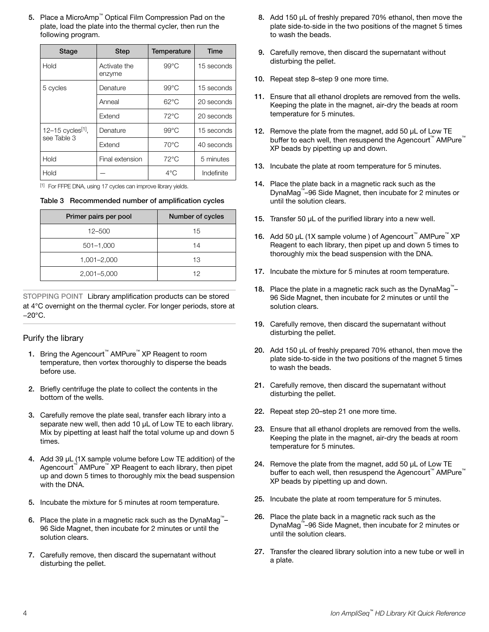<span id="page-3-0"></span>5. Place a MicroAmp™ Optical Film Compression Pad on the plate, load the plate into the thermal cycler, then run the following program.

| Stage                                        | <b>Step</b>            | Temperature    | <b>Time</b> |  |
|----------------------------------------------|------------------------|----------------|-------------|--|
| Hold                                         | Activate the<br>enzyme | $99^{\circ}$ C | 15 seconds  |  |
| 5 cycles                                     | Denature               | $99^{\circ}$ C | 15 seconds  |  |
|                                              | Anneal                 | $62^{\circ}$ C | 20 seconds  |  |
|                                              | Extend                 | $72^{\circ}$ C | 20 seconds  |  |
| 12-15 cycles <sup>[1]</sup> ,<br>see Table 3 | Denature               | $99^{\circ}$ C | 15 seconds  |  |
|                                              | Extend                 | $70^{\circ}$ C | 40 seconds  |  |
| Hold                                         | Final extension        | $72^{\circ}$ C | 5 minutes   |  |
| Hold                                         |                        | $4^{\circ}$ C  | Indefinite  |  |

[1] For FFPE DNA, using 17 cycles can improve library yields.

|  | Table 3 Recommended number of amplification cycles |  |  |  |
|--|----------------------------------------------------|--|--|--|
|--|----------------------------------------------------|--|--|--|

| Primer pairs per pool | Number of cycles |
|-----------------------|------------------|
| 12-500                | 15               |
| $501 - 1,000$         | 14               |
| $1,001 - 2,000$       | 13               |
| 2,001-5,000           | 12               |

STOPPING POINT Library amplification products can be stored at 4°C overnight on the thermal cycler. For longer periods, store at −20°C.

### Purify the library

- 1. Bring the Agencourt™ AMPure™ XP Reagent to room temperature, then vortex thoroughly to disperse the beads before use.
- 2. Briefly centrifuge the plate to collect the contents in the bottom of the wells.
- 3. Carefully remove the plate seal, transfer each library into a separate new well, then add 10 µL of Low TE to each library. Mix by pipetting at least half the total volume up and down 5 times.
- 4. Add 39 µL (1X sample volume before Low TE addition) of the Agencourt™ AMPure™ XP Reagent to each library, then pipet up and down 5 times to thoroughly mix the bead suspension with the DNA.
- 5. Incubate the mixture for 5 minutes at room temperature.
- 6. Place the plate in a magnetic rack such as the DynaMag<sup>™</sup>-96 Side Magnet, then incubate for 2 minutes or until the solution clears.
- 7. Carefully remove, then discard the supernatant without disturbing the pellet.
- 8. Add 150 μL of freshly prepared 70% ethanol, then move the plate side-to-side in the two positions of the magnet 5 times to wash the beads.
- 9. Carefully remove, then discard the supernatant without disturbing the pellet.
- 10. Repeat step 8–step 9 one more time.
- 11. Ensure that all ethanol droplets are removed from the wells. Keeping the plate in the magnet, air-dry the beads at room temperature for 5 minutes.
- 12. Remove the plate from the magnet, add 50 µL of Low TE buffer to each well, then resuspend the Agencourt™ AMPure™ XP beads by pipetting up and down.
- 13. Incubate the plate at room temperature for 5 minutes.
- 14. Place the plate back in a magnetic rack such as the DynaMag™ –96 Side Magnet, then incubate for 2 minutes or until the solution clears.
- 15. Transfer 50 µL of the purified library into a new well.
- 16. Add 50 μL (1X sample volume) of Agencourt™ AMPure™ XP Reagent to each library, then pipet up and down 5 times to thoroughly mix the bead suspension with the DNA.
- 17. Incubate the mixture for 5 minutes at room temperature.
- 18. Place the plate in a magnetic rack such as the DynaMag<sup>™</sup>-96 Side Magnet, then incubate for 2 minutes or until the solution clears.
- 19. Carefully remove, then discard the supernatant without disturbing the pellet.
- 20. Add 150 μL of freshly prepared 70% ethanol, then move the plate side-to-side in the two positions of the magnet 5 times to wash the beads.
- 21. Carefully remove, then discard the supernatant without disturbing the pellet.
- 22. Repeat step 20–step 21 one more time.
- 23. Ensure that all ethanol droplets are removed from the wells. Keeping the plate in the magnet, air-dry the beads at room temperature for 5 minutes.
- 24. Remove the plate from the magnet, add 50 µL of Low TE buffer to each well, then resuspend the Agencourt™ AMPure™ XP beads by pipetting up and down.
- 25. Incubate the plate at room temperature for 5 minutes.
- 26. Place the plate back in a magnetic rack such as the DynaMag™ –96 Side Magnet, then incubate for 2 minutes or until the solution clears.
- 27. Transfer the cleared library solution into a new tube or well in a plate.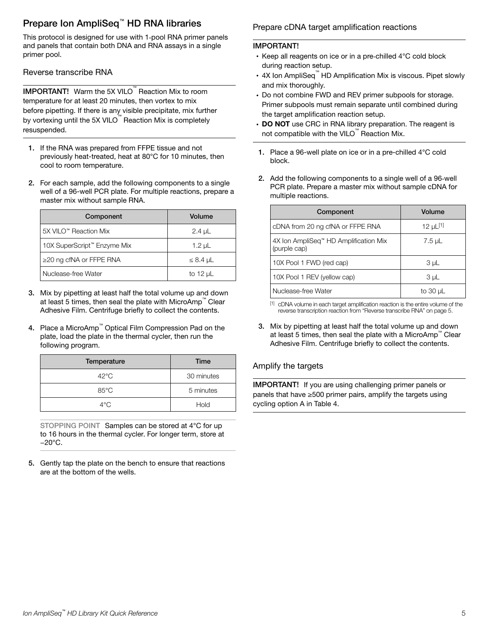# <span id="page-4-0"></span>Prepare Ion AmpliSeq™ HD RNA libraries

This protocol is designed for use with 1‑pool RNA primer panels and panels that contain both DNA and RNA assays in a single primer pool.

Reverse transcribe RNA

IMPORTANT! Warm the 5X VILO™ Reaction Mix to room temperature for at least 20 minutes, then vortex to mix before pipetting. If there is any visible precipitate, mix further by vortexing until the 5X VILO™ Reaction Mix is completely resuspended.

- 1. If the RNA was prepared from FFPE tissue and not previously heat-treated, heat at 80°C for 10 minutes, then cool to room temperature.
- 2. For each sample, add the following components to a single well of a 96-well PCR plate. For multiple reactions, prepare a master mix without sample RNA.

| Component                     | Volume        |
|-------------------------------|---------------|
| 5X VILO™ Reaction Mix         | $2.4 \mu L$   |
| 10X SuperScript™ Enzyme Mix   | 1.2 $\mu$ L   |
| $\geq$ 20 ng cfNA or FFPE RNA | $\leq 8.4$ µL |
| Nuclease-free Water           | to 12 $\mu$ L |

- 3. Mix by pipetting at least half the total volume up and down at least 5 times, then seal the plate with MicroAmp™ Clear Adhesive Film. Centrifuge briefly to collect the contents.
- 4. Place a MicroAmp™ Optical Film Compression Pad on the plate, load the plate in the thermal cycler, then run the following program.

| Temperature    | Time       |
|----------------|------------|
| $42^{\circ}$ C | 30 minutes |
| $85^{\circ}$ C | 5 minutes  |
| $4^{\circ}$ C  | Hold       |

STOPPING POINT Samples can be stored at 4°C for up to 16 hours in the thermal cycler. For longer term, store at −20°C.

5. Gently tap the plate on the bench to ensure that reactions are at the bottom of the wells.

# Prepare cDNA target amplification reactions

# IMPORTANT!

- Keep all reagents on ice or in a pre-chilled 4°C cold block during reaction setup.
- 4X Ion AmpliSeq<sup>™</sup> HD Amplification Mix is viscous. Pipet slowly and mix thoroughly.
- · Do not combine FWD and REV primer subpools for storage. Primer subpools must remain separate until combined during the target amplification reaction setup.
- DO NOT use CRC in RNA library preparation. The reagent is not compatible with the VILO  $\degree$  Reaction Mix.
- 1. Place a 96-well plate on ice or in a pre-chilled 4°C cold block.
- 2. Add the following components to a single well of a 96‑well PCR plate. Prepare a master mix without sample cDNA for multiple reactions.

| Component                                             | Volume         |  |
|-------------------------------------------------------|----------------|--|
| cDNA from 20 ng cfNA or FFPE RNA                      | 12 µ $L^{[1]}$ |  |
| 4X Ion AmpliSeq™ HD Amplification Mix<br>(purple cap) | 7.5 µL         |  |
| 10X Pool 1 FWD (red cap)                              | 3 µL           |  |
| 10X Pool 1 REV (yellow cap)                           | 3 µL           |  |
| Nuclease-free Water                                   | to 30 $\mu$ L  |  |

[1] cDNA volume in each target amplification reaction is the entire volume of the reverse transcription reaction from "Reverse transcribe RNA" on page 5.

3. Mix by pipetting at least half the total volume up and down at least 5 times, then seal the plate with a MicroAmp™ Clear Adhesive Film. Centrifuge briefly to collect the contents.

# Amplify the targets

IMPORTANT! If you are using challenging primer panels or panels that have ≥500 primer pairs, amplify the targets using cycling option A in [Table 4](#page-5-0).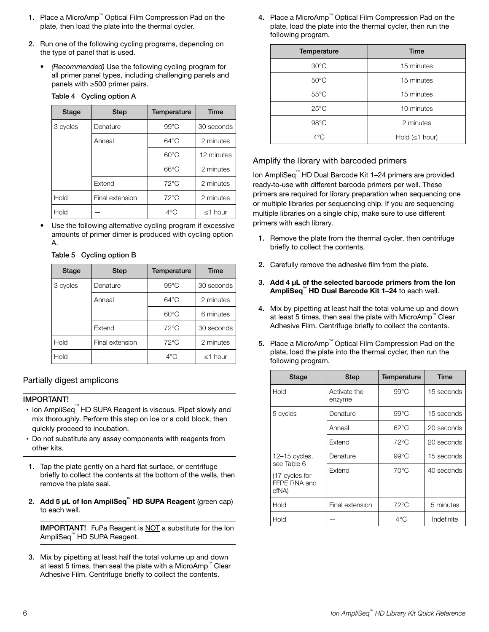- <span id="page-5-0"></span>1. Place a MicroAmp™ Optical Film Compression Pad on the plate, then load the plate into the thermal cycler.
- 2. Run one of the following cycling programs, depending on the type of panel that is used.
	- *(Recommended)* Use the following cycling program for all primer panel types, including challenging panels and panels with ≥500 primer pairs.

| Stage    | <b>Step</b>     | Temperature    | <b>Time</b>   |
|----------|-----------------|----------------|---------------|
| 3 cycles | Denature        | $99^{\circ}$ C | 30 seconds    |
|          | Anneal          | $64^{\circ}$ C | 2 minutes     |
|          |                 | $60^{\circ}$ C | 12 minutes    |
|          |                 | $66^{\circ}$ C | 2 minutes     |
|          | Extend          | $72^{\circ}$ C | 2 minutes     |
| Hold     | Final extension | $72^{\circ}$ C | 2 minutes     |
| Hold     |                 | $4^{\circ}$ C  | $\leq$ 1 hour |

#### Table 4 Cycling option A

Use the following alternative cycling program if excessive amounts of primer dimer is produced with cycling option A.

| Table 5 Cycling option B |  |
|--------------------------|--|
|                          |  |

| Stage    | <b>Step</b>     | Temperature    | <b>Time</b>   |
|----------|-----------------|----------------|---------------|
| 3 cycles | Denature        | $99^{\circ}$ C | 30 seconds    |
|          | Anneal          | $64^{\circ}$ C | 2 minutes     |
|          |                 | $60^{\circ}$ C | 6 minutes     |
|          | Extend          | $72^{\circ}$ C | 30 seconds    |
| Hold     | Final extension | $72^{\circ}$ C | 2 minutes     |
| Hold     |                 | $4^{\circ}$ C  | $\leq$ 1 hour |

Partially digest amplicons

#### IMPORTANT!

- · Ion AmpliSeq™ HD SUPA Reagent is viscous. Pipet slowly and mix thoroughly. Perform this step on ice or a cold block, then quickly proceed to incubation.
- · Do not substitute any assay components with reagents from other kits.
- 1. Tap the plate gently on a hard flat surface, or centrifuge briefly to collect the contents at the bottom of the wells, then remove the plate seal.
- 2. Add 5 µL of Ion AmpliSeq<sup>™</sup> HD SUPA Reagent (green cap) to each well.

IMPORTANT! FuPa Reagent is NOT a substitute for the Ion AmpliSeq™ HD SUPA Reagent.

3. Mix by pipetting at least half the total volume up and down at least 5 times, then seal the plate with a MicroAmp™ Clear Adhesive Film. Centrifuge briefly to collect the contents.

4. Place a MicroAmp™ Optical Film Compression Pad on the plate, load the plate into the thermal cycler, then run the following program.

| Temperature    | <b>Time</b>          |
|----------------|----------------------|
| $30^{\circ}$ C | 15 minutes           |
| $50^{\circ}$ C | 15 minutes           |
| $55^{\circ}$ C | 15 minutes           |
| $25^{\circ}$ C | 10 minutes           |
| $98^{\circ}$ C | 2 minutes            |
| 4°C            | Hold $(\leq 1$ hour) |

### Amplify the library with barcoded primers

Ion AmpliSeq™ HD Dual Barcode Kit 1–24 primers are provided ready-to-use with different barcode primers per well. These primers are required for library preparation when sequencing one or multiple libraries per sequencing chip. If you are sequencing multiple libraries on a single chip, make sure to use different primers with each library.

- 1. Remove the plate from the thermal cycler, then centrifuge briefly to collect the contents.
- 2. Carefully remove the adhesive film from the plate.
- 3. Add 4 µL of the selected barcode primers from the Ion AmpliSeq™ HD Dual Barcode Kit 1–24 to each well.
- 4. Mix by pipetting at least half the total volume up and down at least 5 times, then seal the plate with MicroAmp™ Clear Adhesive Film. Centrifuge briefly to collect the contents.
- 5. Place a MicroAmp™ Optical Film Compression Pad on the plate, load the plate into the thermal cycler, then run the following program.

| <b>Stage</b>                                           | <b>Step</b>            | Temperature    | Time       |
|--------------------------------------------------------|------------------------|----------------|------------|
| Hold                                                   | Activate the<br>enzyme | $99^{\circ}$ C | 15 seconds |
| 5 cycles                                               | Denature               | $99^{\circ}$ C | 15 seconds |
|                                                        | Anneal                 | $62^{\circ}$ C | 20 seconds |
|                                                        | Extend                 | $72^{\circ}$ C | 20 seconds |
| $12-15$ cycles,                                        | Denature               | $99^{\circ}$ C | 15 seconds |
| see Table 6<br>(17 cycles for<br>FFPE RNA and<br>cfNA) | Extend                 | $70^{\circ}$ C | 40 seconds |
| Hold                                                   | Final extension        | $72^{\circ}$ C | 5 minutes  |
| Hold                                                   |                        | $4^{\circ}$ C  | Indefinite |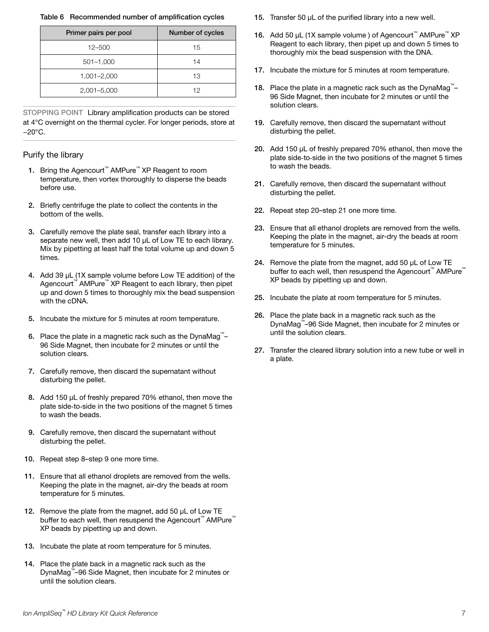#### <span id="page-6-0"></span>Table 6 Recommended number of amplification cycles

| Primer pairs per pool | Number of cycles |
|-----------------------|------------------|
| $12 - 500$            | 15               |
| $501 - 1,000$         | 14               |
| 1,001-2,000           | 13               |
| 2,001-5,000           | 12               |

STOPPING POINT Library amplification products can be stored at 4°C overnight on the thermal cycler. For longer periods, store at −20°C.

#### Purify the library

- 1. Bring the Agencourt™ AMPure™ XP Reagent to room temperature, then vortex thoroughly to disperse the beads before use.
- 2. Briefly centrifuge the plate to collect the contents in the bottom of the wells.
- 3. Carefully remove the plate seal, transfer each library into a separate new well, then add 10 uL of Low TE to each library. Mix by pipetting at least half the total volume up and down 5 times.
- 4. Add 39 µL (1X sample volume before Low TE addition) of the Agencourt™ AMPure™ XP Reagent to each library, then pipet up and down 5 times to thoroughly mix the bead suspension with the cDNA.
- 5. Incubate the mixture for 5 minutes at room temperature.
- 6. Place the plate in a magnetic rack such as the DynaMag<sup>™</sup>-96 Side Magnet, then incubate for 2 minutes or until the solution clears.
- 7. Carefully remove, then discard the supernatant without disturbing the pellet.
- 8. Add 150 μL of freshly prepared 70% ethanol, then move the plate side‑to‑side in the two positions of the magnet 5 times to wash the beads.
- 9. Carefully remove, then discard the supernatant without disturbing the pellet.
- 10. Repeat step 8–step 9 one more time.
- 11. Ensure that all ethanol droplets are removed from the wells. Keeping the plate in the magnet, air-dry the beads at room temperature for 5 minutes.
- 12. Remove the plate from the magnet, add 50  $\mu$ L of Low TE buffer to each well, then resuspend the Agencourt™ AMPure™ XP beads by pipetting up and down.
- 13. Incubate the plate at room temperature for 5 minutes.
- 14. Place the plate back in a magnetic rack such as the DynaMag™ –96 Side Magnet, then incubate for 2 minutes or until the solution clears.
- 15. Transfer 50 µL of the purified library into a new well.
- 16. Add 50 μL (1X sample volume) of Agencourt™ AMPure™ XP Reagent to each library, then pipet up and down 5 times to thoroughly mix the bead suspension with the DNA.
- 17. Incubate the mixture for 5 minutes at room temperature.
- 18. Place the plate in a magnetic rack such as the DynaMag<sup>™</sup>-96 Side Magnet, then incubate for 2 minutes or until the solution clears.
- 19. Carefully remove, then discard the supernatant without disturbing the pellet.
- 20. Add 150 μL of freshly prepared 70% ethanol, then move the plate side‑to‑side in the two positions of the magnet 5 times to wash the beads.
- 21. Carefully remove, then discard the supernatant without disturbing the pellet.
- 22. Repeat step 20–step 21 one more time.
- 23. Ensure that all ethanol droplets are removed from the wells. Keeping the plate in the magnet, air-dry the beads at room temperature for 5 minutes.
- 24. Remove the plate from the magnet, add 50 µL of Low TE buffer to each well, then resuspend the Agencourt™ AMPure™ XP beads by pipetting up and down.
- 25. Incubate the plate at room temperature for 5 minutes.
- 26. Place the plate back in a magnetic rack such as the DynaMag™ –96 Side Magnet, then incubate for 2 minutes or until the solution clears.
- 27. Transfer the cleared library solution into a new tube or well in a plate.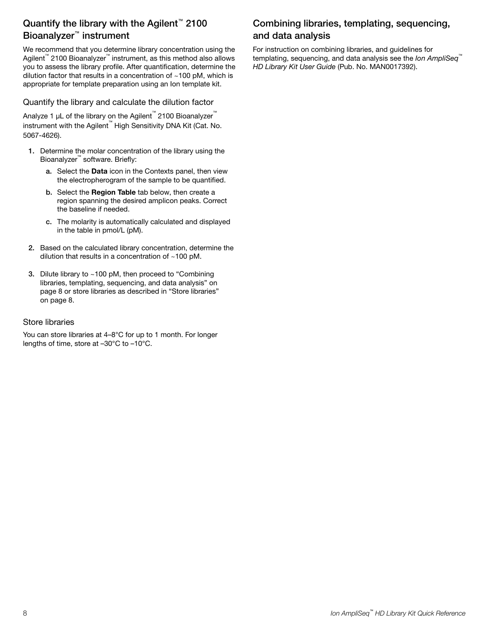# <span id="page-7-0"></span>Quantify the library with the Agilent<sup>™</sup> 2100 Bioanalyzer™ instrument

We recommend that you determine library concentration using the Agilent™ 2100 Bioanalyzer™ instrument, as this method also allows you to assess the library profile. After quantification, determine the dilution factor that results in a concentration of  $~100$  pM, which is appropriate for template preparation using an Ion template kit.

Quantify the library and calculate the dilution factor

Analyze 1 μL of the library on the Agilent™ 2100 Bioanalyzer™ instrument with the Agilent™ High Sensitivity DNA Kit (Cat. No. 5067-4626).

- 1. Determine the molar concentration of the library using the Bioanalyzer™ software. Briefly:
	- a. Select the Data icon in the Contexts panel, then view the electropherogram of the sample to be quantified.
	- b. Select the Region Table tab below, then create a region spanning the desired amplicon peaks. Correct the baseline if needed.
	- c. The molarity is automatically calculated and displayed in the table in pmol/L (pM).
- 2. Based on the calculated library concentration, determine the dilution that results in a concentration of ~100 pM.
- 3. Dilute library to ~100 pM, then proceed to "Combining libraries, templating, sequencing, and data analysis" on page 8 or store libraries as described in "Store libraries" on page 8.

### Store libraries

You can store libraries at 4–8°C for up to 1 month. For longer lengths of time, store at –30°C to –10°C.

# Combining libraries, templating, sequencing, and data analysis

For instruction on combining libraries, and guidelines for templating, sequencing, and data analysis see the *Ion AmpliSeq™ HD Library Kit User Guide* (Pub. No. MAN0017392).